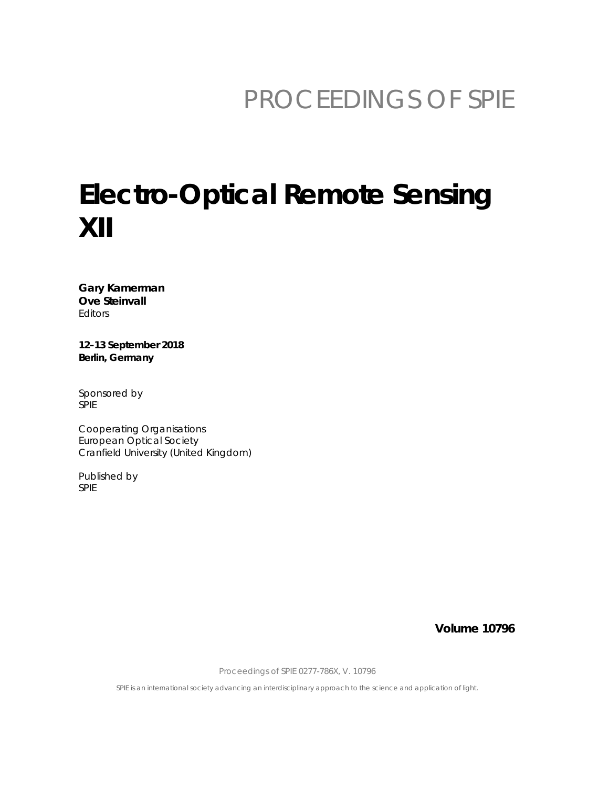# PROCEEDINGS OF SPIE

# **Electro-Optical Remote Sensing**  $XII$

Gary Kamerman **Ove Steinvall** Editors

12-13 September 2018 Berlin, Germany

Sponsored by **SPIE** 

Cooperating Organisations **European Optical Society** Cranfield University (United Kingdom)

Published by SPIE

**Volume 10796** 

Proceedings of SPIE 0277-786X, V. 10796

SPIE is an international society advancing an interdisciplinary approach to the science and application of light.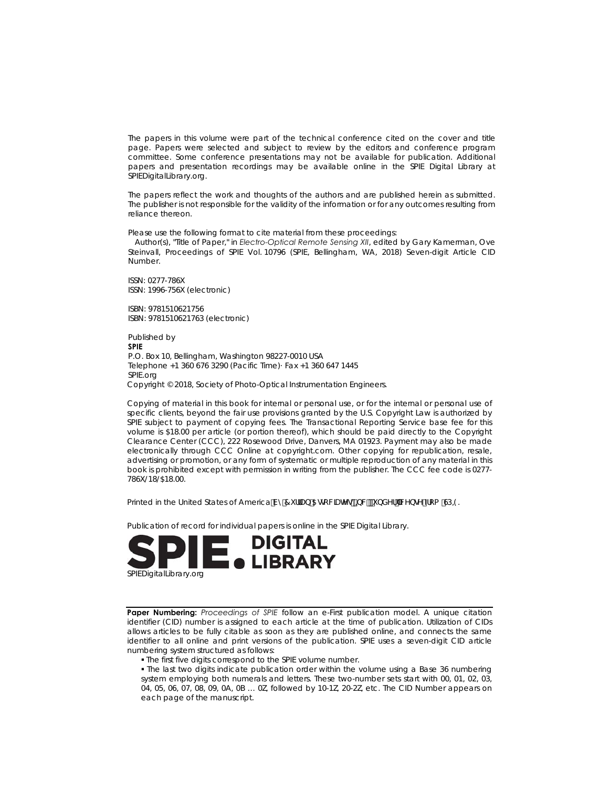The papers in this volume were part of the technical conference cited on the cover and title page. Papers were selected and subject to review by the editors and conference program committee. Some conference presentations may not be available for publication. Additional papers and presentation recordings may be available online in the SPIE Digital Library at SPIEDigitalLibrary.org.

The papers reflect the work and thoughts of the authors and are published herein as submitted. The publisher is not responsible for the validity of the information or for any outcomes resulting from reliance thereon.

Please use the following format to cite material from these proceedings:

 Author(s), "Title of Paper," in *Electro-Optical Remote Sensing XII*, edited by Gary Kamerman, Ove Steinvall, Proceedings of SPIE Vol. 10796 (SPIE, Bellingham, WA, 2018) Seven-digit Article CID Number.

ISSN: 0277-786X ISSN: 1996-756X (electronic)

ISBN: 9781510621756 ISBN: 9781510621763 (electronic)

Published by **SPIE**  P.O. Box 10, Bellingham, Washington 98227-0010 USA Telephone +1 360 676 3290 (Pacific Time)· Fax +1 360 647 1445 SPIE.org Copyright © 2018, Society of Photo-Optical Instrumentation Engineers.

Copying of material in this book for internal or personal use, or for the internal or personal use of specific clients, beyond the fair use provisions granted by the U.S. Copyright Law is authorized by SPIE subject to payment of copying fees. The Transactional Reporting Service base fee for this volume is \$18.00 per article (or portion thereof), which should be paid directly to the Copyright Clearance Center (CCC), 222 Rosewood Drive, Danvers, MA 01923. Payment may also be made electronically through CCC Online at copyright.com. Other copying for republication, resale, advertising or promotion, or any form of systematic or multiple reproduction of any material in this book is prohibited except with permission in writing from the publisher. The CCC fee code is 0277- 786X/18/\$18.00.

Printed in the United States of America Vm7 i ffUb 5gc WUHY of bWzi bXYf"JWY bol 'Zfca 'CD-9.

Publication of record for individual papers is online in the SPIE Digital Library.



**Paper Numbering:** *Proceedings of SPIE* follow an e-First publication model. A unique citation identifier (CID) number is assigned to each article at the time of publication. Utilization of CIDs allows articles to be fully citable as soon as they are published online, and connects the same identifier to all online and print versions of the publication. SPIE uses a seven-digit CID article numbering system structured as follows:

The first five digits correspond to the SPIE volume number.

 The last two digits indicate publication order within the volume using a Base 36 numbering system employing both numerals and letters. These two-number sets start with 00, 01, 02, 03, 04, 05, 06, 07, 08, 09, 0A, 0B … 0Z, followed by 10-1Z, 20-2Z, etc. The CID Number appears on each page of the manuscript.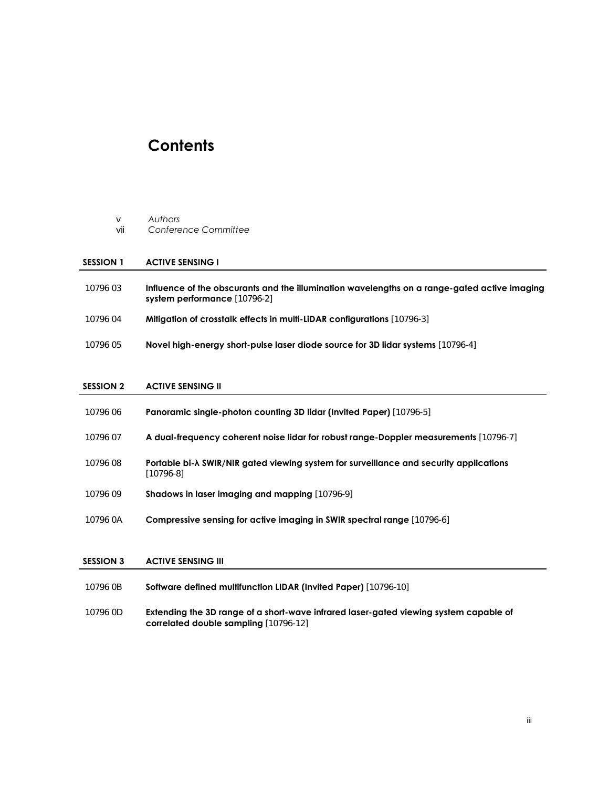# **Contents**

|  | Authors |
|--|---------|
|--|---------|

vii *Conference Committee* 

#### **SESSION 1 ACTIVE SENSING I**

- 10796 03 **Influence of the obscurants and the illumination wavelengths on a range-gated active imaging system performance** [10796-2]
- 10796 04 **Mitigation of crosstalk effects in multi-LiDAR configurations** [10796-3]
- 10796 05 **Novel high-energy short-pulse laser diode source for 3D lidar systems** [10796-4]

#### **SESSION 2 ACTIVE SENSING II**

| 10796 06 | <b>Panoramic single-photon counting 3D lidar (Invited Paper)</b> [10796-5]                                   |
|----------|--------------------------------------------------------------------------------------------------------------|
| 10796 07 | A dual-frequency coherent noise lidar for robust range-Doppler measurements [10796-7]                        |
| 10796 08 | Portable bi- $\lambda$ SWIR/NIR gated viewing system for surveillance and security applications<br>[10796-8] |
| 10796 09 | <b>Shadows in laser imaging and mapping [10796-9]</b>                                                        |
| 10796 0A | <b>Compressive sensing for active imaging in SWIR spectral range [10796-6]</b>                               |

### **SESSION 3 ACTIVE SENSING III**

| 10796 0B | <b>Software defined multifunction LIDAR (Invited Paper)</b> [10796-10] |
|----------|------------------------------------------------------------------------|
|----------|------------------------------------------------------------------------|

10796 0D **Extending the 3D range of a short-wave infrared laser-gated viewing system capable of correlated double sampling** [10796-12]